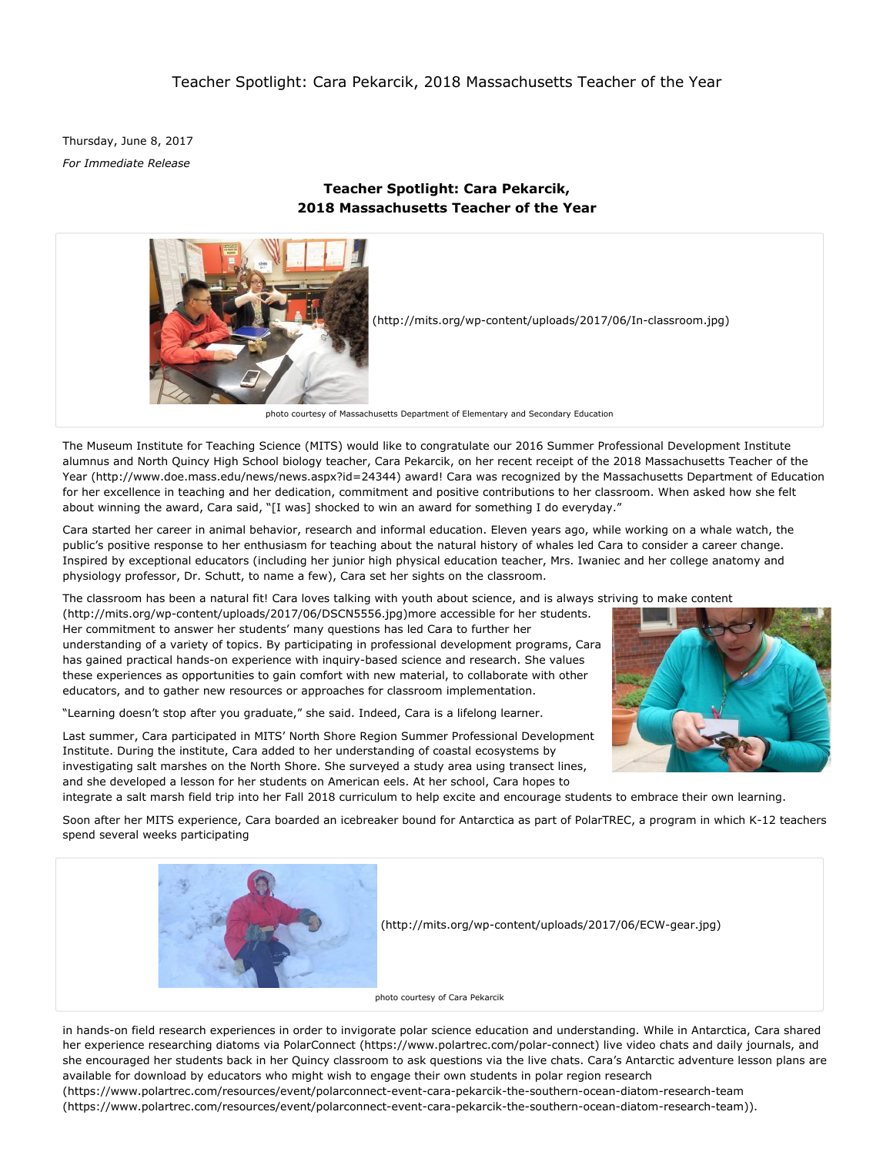Thursday, June 8, 2017 *For Immediate Release*

# **Teacher Spotlight: Cara Pekarcik, 2018 Massachusetts Teacher of the Year**



The Museum Institute for Teaching Science (MITS) would like to congratulate our 2016 Summer Professional Development Institute alumnus and North Quincy High School biology teacher, Cara Pekarcik, on her recent receipt of the 2018 Massachusetts Teacher of the Year (http://www.doe.mass.edu/news/news.aspx?id=24344) award! Cara was recognized by the Massachusetts Department of Education for her excellence in teaching and her dedication, commitment and positive contributions to her classroom. When asked how she felt about winning the award, Cara said, "[I was] shocked to win an award for something I do everyday."

Cara started her career in animal behavior, research and informal education. Eleven years ago, while working on a whale watch, the public's positive response to her enthusiasm for teaching about the natural history of whales led Cara to consider a career change. Inspired by exceptional educators (including her junior high physical education teacher, Mrs. Iwaniec and her college anatomy and physiology professor, Dr. Schutt, to name a few), Cara set her sights on the classroom.

The classroom has been a natural fit! Cara loves talking with youth about science, and is always striving to make content

(http://mits.org/wp-content/uploads/2017/06/DSCN5556.jpg)more accessible for her students. Her commitment to answer her students' many questions has led Cara to further her understanding of a variety of topics. By participating in professional development programs, Cara has gained practical hands-on experience with inquiry-based science and research. She values these experiences as opportunities to gain comfort with new material, to collaborate with other educators, and to gather new resources or approaches for classroom implementation.

"Learning doesn't stop after you graduate," she said. Indeed, Cara is a lifelong learner.

Last summer, Cara participated in MITS' North Shore Region Summer Professional Development Institute. During the institute, Cara added to her understanding of coastal ecosystems by investigating salt marshes on the North Shore. She surveyed a study area using transect lines, and she developed a lesson for her students on American eels. At her school, Cara hopes to



integrate a salt marsh field trip into her Fall 2018 curriculum to help excite and encourage students to embrace their own learning.

Soon after her MITS experience, Cara boarded an icebreaker bound for Antarctica as part of PolarTREC, a program in which K12 teachers spend several weeks participating



in hands-on field research experiences in order to invigorate polar science education and understanding. While in Antarctica, Cara shared her experience researching diatoms via PolarConnect (https://www.polartrec.com/polar-connect) live video chats and daily journals, and she encouraged her students back in her Quincy classroom to ask questions via the live chats. Cara's Antarctic adventure lesson plans are available for download by educators who might wish to engage their own students in polar region research (https://www.polartrec.com/resources/event/polarconnect-event-cara-pekarcik-the-southern-ocean-diatom-research-team

(https://www.polartrec.com/resources/event/polarconnect-event-cara-pekarcik-the-southern-ocean-diatom-research-team)).